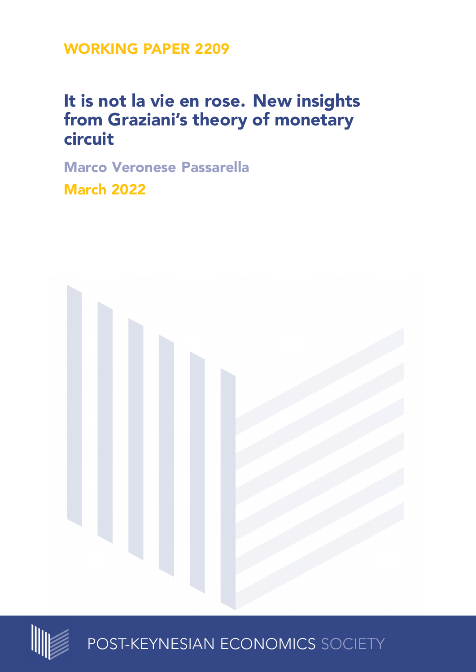**WORKING PAPER 2209**

# **It is not la vie en rose. New insights from Graziani's theory of monetary circuit**

**Marco Veronese Passarella March 2022**





POST-KEYNESIAN ECONOMICS SOCIETY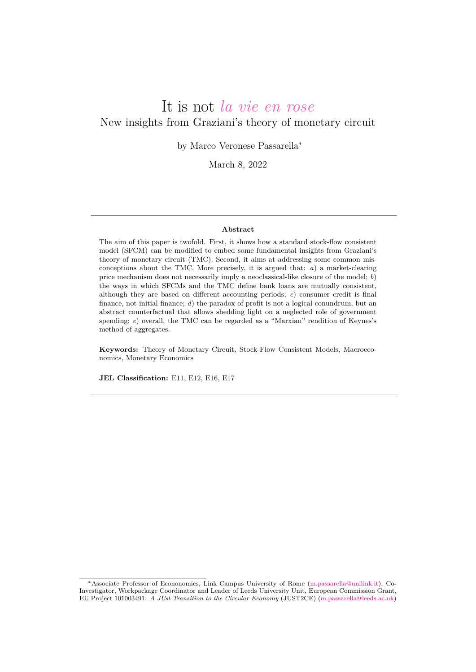# It is not *la vie en rose* New insights from Graziani's theory of monetary circuit

by Marco Veronese Passarella*<sup>∗</sup>*

March 8, 2022

#### **Abstract**

The aim of this paper is twofold. First, it shows how a standard stock-flow consistent model (SFCM) can be modified to embed some fundamental insights from Graziani's theory of monetary circuit (TMC). Second, it aims at addressing some common misconceptions about the TMC. More precisely, it is argued that: *a*) a market-clearing price mechanism does not necessarily imply a neoclassical-like closure of the model; *b*) the ways in which SFCMs and the TMC define bank loans are mutually consistent, although they are based on different accounting periods; *c*) consumer credit is final finance, not initial finance; *d*) the paradox of profit is not a logical conundrum, but an abstract counterfactual that allows shedding light on a neglected role of government spending; *e*) overall, the TMC can be regarded as a "Marxian" rendition of Keynes's method of aggregates.

**Keywords:** Theory of Monetary Circuit, Stock-Flow Consistent Models, Macroeconomics, Monetary Economics

**JEL Classification:** E11, E12, E16, E17

*<sup>∗</sup>*Associate Professor of Econonomics, Link Campus University of Rome ([m.passarella@unilink.it](mailto://m.passarella@unilink.it)); Co-Investigator, Workpackage Coordinator and Leader of Leeds University Unit, European Commission Grant, EU Project 101003491: *A JUst Transition to the Circular Economy* (JUST2CE) [\(m.passarella@leeds.ac.uk\)](mailto://m.passarella@leeds.ac.uk)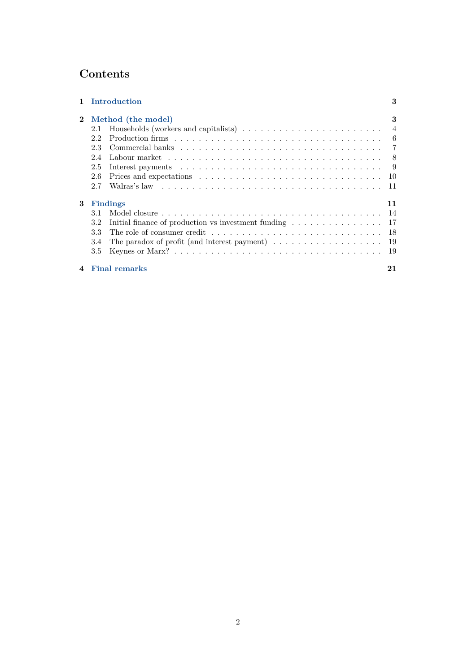## **Contents**

|                        | <b>Introduction</b>                                                                                                                                                                                                                   | 3              |
|------------------------|---------------------------------------------------------------------------------------------------------------------------------------------------------------------------------------------------------------------------------------|----------------|
| $\mathbf{2}$           | Method (the model)                                                                                                                                                                                                                    | 3              |
|                        | 2.1                                                                                                                                                                                                                                   | $\overline{4}$ |
|                        | 2.2                                                                                                                                                                                                                                   | -6             |
|                        | 23                                                                                                                                                                                                                                    | - 7            |
|                        | Labour market research research research research research research research research research research research research research research research research research research research research research research research r<br>2.4 | - 8            |
|                        | 2.5                                                                                                                                                                                                                                   | -9             |
|                        | 2.6                                                                                                                                                                                                                                   | 10             |
|                        | 2.7                                                                                                                                                                                                                                   | 11             |
| 3                      | Findings                                                                                                                                                                                                                              | 11             |
|                        | 3.1                                                                                                                                                                                                                                   | 14             |
|                        | Initial finance of production vs investment funding $\dots \dots \dots \dots \dots$<br>3.2                                                                                                                                            | 17             |
|                        | 3.3                                                                                                                                                                                                                                   | 18             |
|                        | The paradox of profit (and interest payment) $\dots \dots \dots \dots \dots \dots$<br>3.4                                                                                                                                             | 19             |
|                        | Keynes or Marx? $\ldots \ldots \ldots \ldots \ldots \ldots \ldots \ldots \ldots \ldots \ldots \ldots \ldots$<br>3.5                                                                                                                   | 19             |
| $\boldsymbol{\Lambda}$ | <b>Final remarks</b>                                                                                                                                                                                                                  | 21             |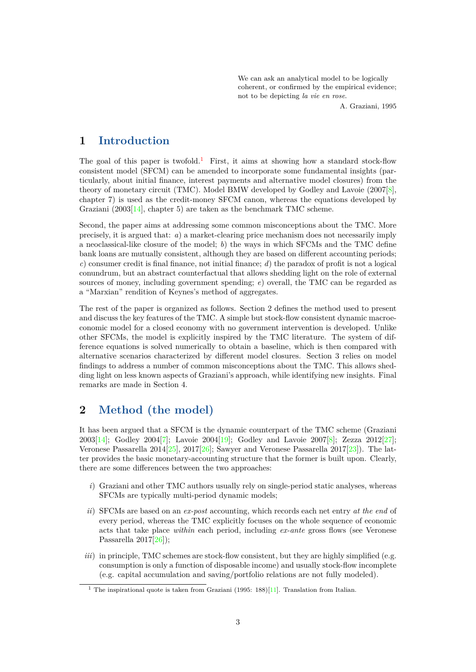We can ask an analytical model to be logically coherent, or confirmed by the empirical evidence; not to be depicting *la vie en rose*.

A. Graziani, 1995

### <span id="page-3-0"></span>**1 Introduction**

The goal of this paper is twofold.<sup>[1](#page-3-2)</sup> First, it aims at showing how a standard stock-flow consistent model (SFCM) can be amended to incorporate some fundamental insights (particularly, about initial finance, interest payments and alternative model closures) from the theory of monetary circuit (TMC). Model BMW developed by Godley and Lavoie (2007[[8\]](#page-22-0), chapter 7) is used as the credit-money SFCM canon, whereas the equations developed by Graziani (2003[\[14](#page-23-0)], chapter 5) are taken as the benchmark TMC scheme.

Second, the paper aims at addressing some common misconceptions about the TMC. More precisely, it is argued that: *a*) a market-clearing price mechanism does not necessarily imply a neoclassical-like closure of the model; *b*) the ways in which SFCMs and the TMC define bank loans are mutually consistent, although they are based on different accounting periods; *c*) consumer credit is final finance, not initial finance; *d*) the paradox of profit is not a logical conundrum, but an abstract counterfactual that allows shedding light on the role of external sources of money, including government spending; *e*) overall, the TMC can be regarded as a "Marxian" rendition of Keynes's method of aggregates.

The rest of the paper is organized as follows. Section 2 defines the method used to present and discuss the key features of the TMC. A simple but stock-flow consistent dynamic macroeconomic model for a closed economy with no government intervention is developed. Unlike other SFCMs, the model is explicitly inspired by the TMC literature. The system of difference equations is solved numerically to obtain a baseline, which is then compared with alternative scenarios characterized by different model closures. Section 3 relies on model findings to address a number of common misconceptions about the TMC. This allows shedding light on less known aspects of Graziani's approach, while identifying new insights. Final remarks are made in Section 4.

### <span id="page-3-1"></span>**2 Method (the model)**

It has been argued that a SFCM is the dynamic counterpart of the TMC scheme (Graziani 2003[[14\]](#page-23-0); Godley 2004[[7\]](#page-22-1); Lavoie 2004[[19\]](#page-23-1); Godley and Lavoie 2007[\[8](#page-22-0)]; Zezza 2012[[27\]](#page-23-2); Veronese Passarella 2014[\[25](#page-23-3)], 2017[\[26](#page-23-4)]; Sawyer and Veronese Passarella 2017[[23](#page-23-5)]). The latter provides the basic monetary-accounting structure that the former is built upon. Clearly, there are some differences between the two approaches:

- *i*) Graziani and other TMC authors usually rely on single-period static analyses, whereas SFCMs are typically multi-period dynamic models;
- *ii*) SFCMs are based on an *ex-post* accounting, which records each net entry *at the end* of every period, whereas the TMC explicitly focuses on the whole sequence of economic acts that take place *within* each period, including *ex-ante* gross flows (see Veronese Passarella 2017[\[26](#page-23-4)]);
- *iii*) in principle, TMC schemes are stock-flow consistent, but they are highly simplified (e.g. consumption is only a function of disposable income) and usually stock-flow incomplete (e.g. capital accumulation and saving/portfolio relations are not fully modeled).

<span id="page-3-2"></span><sup>&</sup>lt;sup>1</sup> The inspirational quote is taken from Graziani (1995: 188)[[11](#page-22-2)]. Translation from Italian.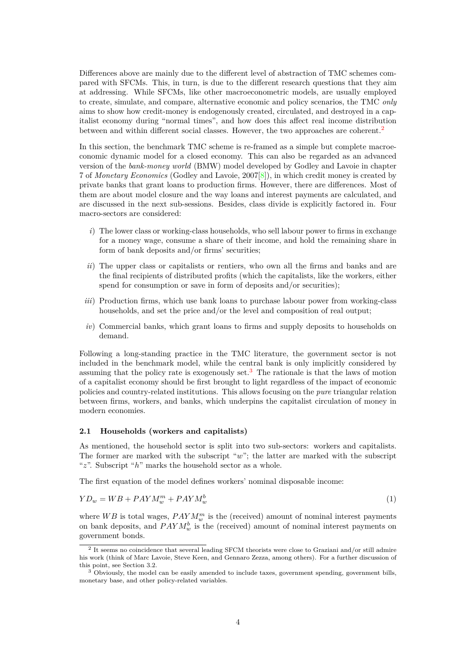Differences above are mainly due to the different level of abstraction of TMC schemes compared with SFCMs. This, in turn, is due to the different research questions that they aim at addressing. While SFCMs, like other macroeconometric models, are usually employed to create, simulate, and compare, alternative economic and policy scenarios, the TMC *only* aims to show how credit-money is endogenously created, circulated, and destroyed in a capitalist economy during "normal times", and how does this affect real income distribution between and within different social classes. However, the two approaches are coherent.<sup>[2](#page-4-1)</sup>

In this section, the benchmark TMC scheme is re-framed as a simple but complete macroeconomic dynamic model for a closed economy. This can also be regarded as an advanced version of the *bank-money world* (BMW) model developed by Godley and Lavoie in chapter 7 of *Monetary Economics* (Godley and Lavoie, 2007[[8\]](#page-22-0)), in which credit money is created by private banks that grant loans to production firms. However, there are differences. Most of them are about model closure and the way loans and interest payments are calculated, and are discussed in the next sub-sessions. Besides, class divide is explicitly factored in. Four macro-sectors are considered:

- *i*) The lower class or working-class households, who sell labour power to firms in exchange for a money wage, consume a share of their income, and hold the remaining share in form of bank deposits and/or firms' securities;
- *ii*) The upper class or capitalists or rentiers, who own all the firms and banks and are the final recipients of distributed profits (which the capitalists, like the workers, either spend for consumption or save in form of deposits and/or securities);
- *iii*) Production firms, which use bank loans to purchase labour power from working-class households, and set the price and/or the level and composition of real output;
- *iv*) Commercial banks, which grant loans to firms and supply deposits to households on demand.

Following a long-standing practice in the TMC literature, the government sector is not included in the benchmark model, while the central bank is only implicitly considered by assuming that the policy rate is exogenously set.<sup>[3](#page-4-2)</sup> The rationale is that the laws of motion of a capitalist economy should be first brought to light regardless of the impact of economic policies and country-related institutions. This allows focusing on the *pure* triangular relation between firms, workers, and banks, which underpins the capitalist circulation of money in modern economies.

### <span id="page-4-0"></span>**2.1 Households (workers and capitalists)**

As mentioned, the household sector is split into two sub-sectors: workers and capitalists. The former are marked with the subscript "*w*"; the latter are marked with the subscript "*z*". Subscript "*h*" marks the household sector as a whole.

The first equation of the model defines workers' nominal disposable income:

$$
YD_w = WB + PAYM_w^m + PAYM_w^b \tag{1}
$$

where  $WB$  is total wages,  $PAYM_w^m$  is the (received) amount of nominal interest payments on bank deposits, and  $PAYM^b_w$  is the (received) amount of nominal interest payments on government bonds.

<span id="page-4-1"></span><sup>2</sup> It seems no coincidence that several leading SFCM theorists were close to Graziani and/or still admire his work (think of Marc Lavoie, Steve Keen, and Gennaro Zezza, among others). For a further discussion of this point, see Section 3.2.

<span id="page-4-2"></span><sup>&</sup>lt;sup>3</sup> Obviously, the model can be easily amended to include taxes, government spending, government bills, monetary base, and other policy-related variables.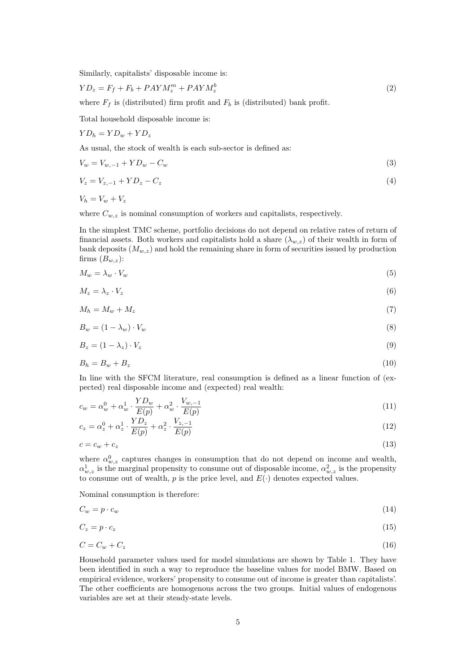Similarly, capitalists' disposable income is:

$$
YD_z = F_f + F_b + PAYM_z^m + PAYM_z^b \tag{2}
$$

where  $F_f$  is (distributed) firm profit and  $F_b$  is (distributed) bank profit.

Total household disposable income is:

$$
YD_h = YD_w + YD_z
$$

As usual, the stock of wealth is each sub-sector is defined as:

$$
V_w = V_{w,-1} + Y D_w - C_w \tag{3}
$$

$$
V_z = V_{z,-1} + Y D_z - C_z \tag{4}
$$

 $V_h = V_w + V_z$ 

where  $C_{w,z}$  is nominal consumption of workers and capitalists, respectively.

In the simplest TMC scheme, portfolio decisions do not depend on relative rates of return of financial assets. Both workers and capitalists hold a share  $(\lambda_{w,z})$  of their wealth in form of bank deposits  $(M_{w,z})$  and hold the remaining share in form of securities issued by production firms  $(B_{w,z})$ :

$$
M_w = \lambda_w \cdot V_w \tag{5}
$$

$$
M_z = \lambda_z \cdot V_z \tag{6}
$$

$$
M_h = M_w + M_z \tag{7}
$$

$$
B_w = (1 - \lambda_w) \cdot V_w \tag{8}
$$

$$
B_z = (1 - \lambda_z) \cdot V_z \tag{9}
$$

$$
B_h = B_w + B_z \tag{10}
$$

In line with the SFCM literature, real consumption is defined as a linear function of (expected) real disposable income and (expected) real wealth:

$$
c_w = \alpha_w^0 + \alpha_w^1 \cdot \frac{Y D_w}{E(p)} + \alpha_w^2 \cdot \frac{V_{w,-1}}{E(p)}
$$
\n
$$
\tag{11}
$$

$$
c_z = \alpha_z^0 + \alpha_z^1 \cdot \frac{YD_z}{E(p)} + \alpha_z^2 \cdot \frac{V_{z,-1}}{E(p)}
$$
\n(12)

$$
c = c_w + c_z \tag{13}
$$

where  $\alpha_{w,z}^0$  captures changes in consumption that do not depend on income and wealth,  $\alpha_{w,z}^1$  is the marginal propensity to consume out of disposable income,  $\alpha_{w,z}^2$  is the propensity to consume out of wealth,  $p$  is the price level, and  $E(\cdot)$  denotes expected values.

Nominal consumption is therefore:

$$
C_w = p \cdot c_w \tag{14}
$$

$$
C_z = p \cdot c_z \tag{15}
$$

$$
C = C_w + C_z \tag{16}
$$

Household parameter values used for model simulations are shown by Table 1. They have been identified in such a way to reproduce the baseline values for model BMW. Based on empirical evidence, workers' propensity to consume out of income is greater than capitalists'. The other coefficients are homogenous across the two groups. Initial values of endogenous variables are set at their steady-state levels.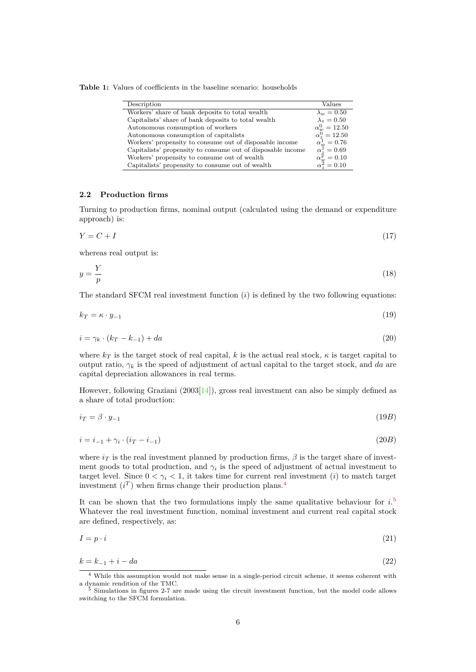**Table 1:** Values of coefficients in the baseline scenario: households

| Description                                                 | Values                                             |
|-------------------------------------------------------------|----------------------------------------------------|
| Workers' share of bank deposits to total wealth             | $\lambda_w = 0.50$                                 |
| Capitalists' share of bank deposits to total wealth         | $\lambda_z = 0.50$                                 |
| Autonomous consumption of workers                           | $\alpha_w^0 = 12.50$                               |
| Autonomous consumption of capitalists                       | $\alpha_*^0 = 12.50$                               |
| Workers' propensity to consume out of disposable income     | $\alpha_w^1 = 0.76$                                |
| Capitalists' propensity to consume out of disposable income | $\alpha_{z}^{\bar{1}}=0.69$                        |
| Workers' propensity to consume out of wealth                | $\alpha_{w}^{2} = 0.10$<br>$\alpha_{z}^{2} = 0.10$ |
| Capitalists' propensity to consume out of wealth            |                                                    |

### <span id="page-6-0"></span>**2.2 Production firms**

Turning to production firms, nominal output (calculated using the demand or expenditure approach) is:

$$
Y = C + I \tag{17}
$$

whereas real output is:

$$
y = \frac{Y}{p} \tag{18}
$$

The standard SFCM real investment function (*i*) is defined by the two following equations:

$$
k_T = \kappa \cdot y_{-1} \tag{19}
$$

$$
i = \gamma_k \cdot (k_T - k_{-1}) + da \tag{20}
$$

where  $k_T$  is the target stock of real capital, *k* is the actual real stock,  $\kappa$  is target capital to output ratio,  $\gamma_k$  is the speed of adjustment of actual capital to the target stock, and da are capital depreciation allowances in real terms.

However, following Graziani (2003[\[14](#page-23-0)]), gross real investment can also be simply defined as a share of total production:

$$
i_T = \beta \cdot y_{-1} \tag{19B}
$$

$$
i = i_{-1} + \gamma_i \cdot (i_T - i_{-1}) \tag{20B}
$$

where  $i_T$  is the real investment planned by production firms,  $\beta$  is the target share of investment goods to total production, and  $\gamma_i$  is the speed of adjustment of actual investment to target level. Since  $0 < \gamma_i < 1$ , it takes time for current real investment (*i*) to match target investment  $(i^T)$  when firms change their production plans.<sup>[4](#page-6-1)</sup>

It can be shown that the two formulations imply the same qualitative behaviour for *i*. [5](#page-6-2) Whatever the real investment function, nominal investment and current real capital stock are defined, respectively, as:

$$
I = p \cdot i \tag{21}
$$

$$
k = k_{-1} + i - da \tag{22}
$$

<span id="page-6-1"></span><sup>4</sup> While this assumption would not make sense in a single-period circuit scheme, it seems coherent with a dynamic rendition of the TMC.

<span id="page-6-2"></span><sup>5</sup> Simulations in figures 2-7 are made using the circuit investment function, but the model code allows switching to the SFCM formulation.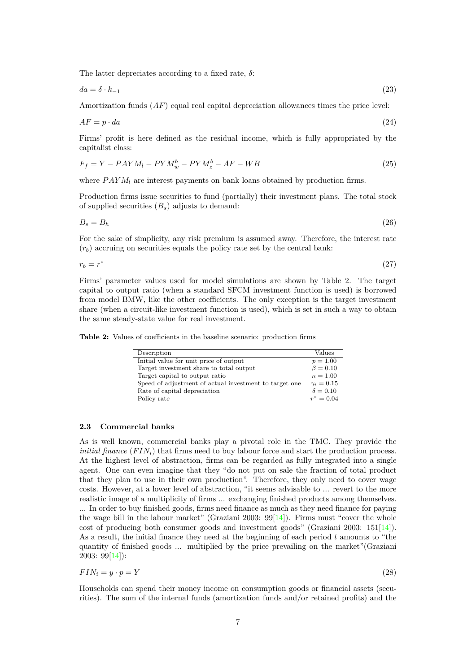The latter depreciates according to a fixed rate, *δ*:

$$
da = \delta \cdot k_{-1} \tag{23}
$$

Amortization funds (*AF*) equal real capital depreciation allowances times the price level:

$$
AF = p \cdot da \tag{24}
$$

Firms' profit is here defined as the residual income, which is fully appropriated by the capitalist class:

$$
F_f = Y - PAYM_l - PYM_w^b - PYM_z^b - AF - WB \tag{25}
$$

where  $PAYM_l$  are interest payments on bank loans obtained by production firms.

Production firms issue securities to fund (partially) their investment plans. The total stock of supplied securities (*Bs*) adjusts to demand:

$$
B_s = B_h \tag{26}
$$

For the sake of simplicity, any risk premium is assumed away. Therefore, the interest rate  $(r_b)$  accruing on securities equals the policy rate set by the central bank:

$$
r_b = r^* \tag{27}
$$

Firms' parameter values used for model simulations are shown by Table 2. The target capital to output ratio (when a standard SFCM investment function is used) is borrowed from model BMW, like the other coefficients. The only exception is the target investment share (when a circuit-like investment function is used), which is set in such a way to obtain the same steady-state value for real investment.

**Table 2:** Values of coefficients in the baseline scenario: production firms

| Description                                            | Values          |
|--------------------------------------------------------|-----------------|
| Initial value for unit price of output                 | $p = 1.00$      |
| Target investment share to total output                | $\beta = 0.10$  |
| Target capital to output ratio                         | $\kappa = 1.00$ |
| Speed of adjustment of actual investment to target one | $\gamma_i=0.15$ |
| Rate of capital depreciation                           | $\delta = 0.10$ |
| Policy rate                                            | $r^* = 0.04$    |

### <span id="page-7-0"></span>**2.3 Commercial banks**

As is well known, commercial banks play a pivotal role in the TMC. They provide the *initial finance*  $(FIN_i)$  that firms need to buy labour force and start the production process. At the highest level of abstraction, firms can be regarded as fully integrated into a single agent. One can even imagine that they "do not put on sale the fraction of total product that they plan to use in their own production". Therefore, they only need to cover wage costs. However, at a lower level of abstraction, "it seems advisable to ... revert to the more realistic image of a multiplicity of firms ... exchanging finished products among themselves. ... In order to buy finished goods, firms need finance as much as they need finance for paying the wage bill in the labour market" (Graziani 2003:  $99[14]$  $99[14]$  $99[14]$ ). Firms must "cover the whole cost of producing both consumer goods and investment goods" (Graziani 2003: 151[[14\]](#page-23-0)). As a result, the initial finance they need at the beginning of each period *t* amounts to "the quantity of finished goods ... multiplied by the price prevailing on the market"(Graziani 2003: 99[\[14](#page-23-0)]):

$$
FIN_i = y \cdot p = Y \tag{28}
$$

Households can spend their money income on consumption goods or financial assets (securities). The sum of the internal funds (amortization funds and/or retained profits) and the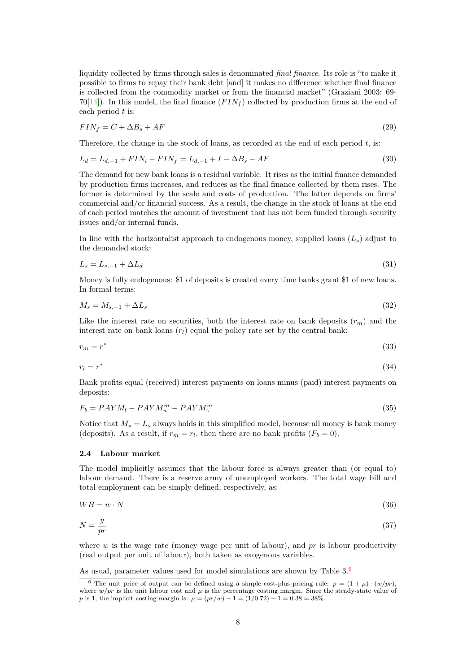liquidity collected by firms through sales is denominated *final finance*. Its role is "to make it possible to firms to repay their bank debt [and] it makes no difference whether final finance is collected from the commodity market or from the financial market" (Graziani 2003: 69-  $70[14]$  $70[14]$ ). In this model, the final finance  $(FIN<sub>f</sub>)$  collected by production firms at the end of each period *t* is:

$$
FIN_f = C + \Delta B_s + AF \tag{29}
$$

Therefore, the change in the stock of loans, as recorded at the end of each period *t*, is:

$$
L_d = L_{d,-1} + FIN_i - FIN_f = L_{d,-1} + I - \Delta B_s - AF \tag{30}
$$

The demand for new bank loans is a residual variable. It rises as the initial finance demanded by production firms increases, and reduces as the final finance collected by them rises. The former is determined by the scale and costs of production. The latter depends on firms' commercial and/or financial success. As a result, the change in the stock of loans at the end of each period matches the amount of investment that has not been funded through security issues and/or internal funds.

In line with the horizontalist approach to endogenous money, supplied loans  $(L_s)$  adjust to the demanded stock:

$$
L_s = L_{s,-1} + \Delta L_d \tag{31}
$$

Money is fully endogenous: \$1 of deposits is created every time banks grant \$1 of new loans. In formal terms:

$$
M_s = M_{s,-1} + \Delta L_s \tag{32}
$$

Like the interest rate on securities, both the interest rate on bank deposits  $(r_m)$  and the interest rate on bank loans  $(r_l)$  equal the policy rate set by the central bank:

$$
r_m = r^* \tag{33}
$$

$$
r_l = r^* \tag{34}
$$

Bank profits equal (received) interest payments on loans minus (paid) interest payments on deposits:

$$
F_b = PAYM_l - PAYM_w^m - PAYM_z^m \tag{35}
$$

Notice that  $M_s = L_s$  always holds in this simplified model, because all money is bank money (deposits). As a result, if  $r_m = r_l$ , then there are no bank profits  $(F_b = 0)$ .

### <span id="page-8-0"></span>**2.4 Labour market**

The model implicitly assumes that the labour force is always greater than (or equal to) labour demand. There is a reserve army of unemployed workers. The total wage bill and total employment can be simply defined, respectively, as:

$$
WB = w \cdot N \tag{36}
$$

$$
N = \frac{y}{pr} \tag{37}
$$

where *w* is the wage rate (money wage per unit of labour), and *pr* is labour productivity (real output per unit of labour), both taken as exogenous variables.

As usual, parameter values used for model simulations are shown by Table  $3.6$  $3.6$ 

<span id="page-8-1"></span><sup>&</sup>lt;sup>6</sup> The unit price of output can be defined using a simple cost-plus pricing rule:  $p = (1 + \mu) \cdot (w/pr)$ , where  $w/pr$  is the unit labour cost and  $\mu$  is the percentage costing margin. Since the steady-state value of *p* is 1, the implicit costing margin is:  $\mu = (pr/w) - 1 = (1/0.72) - 1 = 0.38 = 38\%$ .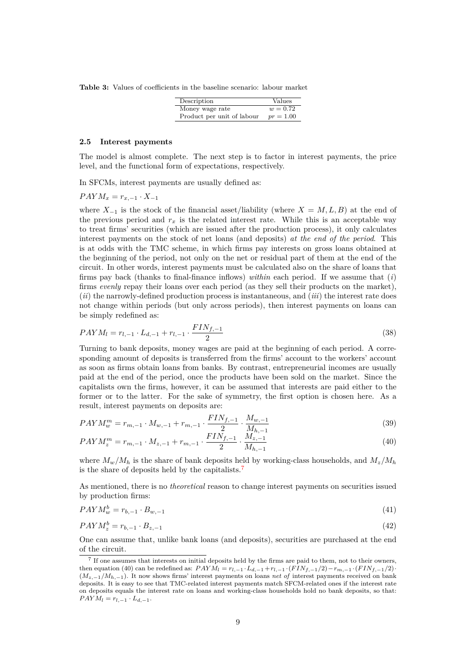**Table 3:** Values of coefficients in the baseline scenario: labour market

| Description                | Values      |
|----------------------------|-------------|
| Money wage rate            | $w = 0.72$  |
| Product per unit of labour | $pr = 1.00$ |

#### <span id="page-9-0"></span>**2.5 Interest payments**

The model is almost complete. The next step is to factor in interest payments, the price level, and the functional form of expectations, respectively.

In SFCMs, interest payments are usually defined as:

$$
PAYM_x = r_{x,-1} \cdot X_{-1}
$$

where  $X_{-1}$  is the stock of the financial asset/liability (where  $X = M, L, B$ ) at the end of the previous period and  $r_x$  is the related interest rate. While this is an acceptable way to treat firms' securities (which are issued after the production process), it only calculates interest payments on the stock of net loans (and deposits) *at the end of the period*. This is at odds with the TMC scheme, in which firms pay interests on gross loans obtained at the beginning of the period, not only on the net or residual part of them at the end of the circuit. In other words, interest payments must be calculated also on the share of loans that firms pay back (thanks to final-finance inflows) *within* each period. If we assume that (*i*) firms *evenly* repay their loans over each period (as they sell their products on the market), (*ii*) the narrowly-defined production process is instantaneous, and (*iii*) the interest rate does not change within periods (but only across periods), then interest payments on loans can be simply redefined as:

$$
PAYM_l = r_{l,-1} \cdot L_{d,-1} + r_{l,-1} \cdot \frac{FIN_{f,-1}}{2} \tag{38}
$$

Turning to bank deposits, money wages are paid at the beginning of each period. A corresponding amount of deposits is transferred from the firms' account to the workers' account as soon as firms obtain loans from banks. By contrast, entrepreneurial incomes are usually paid at the end of the period, once the products have been sold on the market. Since the capitalists own the firms, however, it can be assumed that interests are paid either to the former or to the latter. For the sake of symmetry, the first option is chosen here. As a result, interest payments on deposits are:

$$
PAYM_w^m = r_{m,-1} \cdot M_{w,-1} + r_{m,-1} \cdot \frac{FIN_{f,-1}}{2} \cdot \frac{M_{w,-1}}{M_{h,-1}}
$$
(39)

$$
PAYM_z^m = r_{m,-1} \cdot M_{z,-1} + r_{m,-1} \cdot \frac{FIN_{f,-1}}{2} \cdot \frac{M_{z,-1}}{M_{h,-1}} \tag{40}
$$

where  $M_w/M_h$  is the share of bank deposits held by working-class households, and  $M_z/M_h$ is the share of deposits held by the capitalists.[7](#page-9-2)

As mentioned, there is no *theoretical* reason to change interest payments on securities issued by production firms:

$$
PAYM_w^b = r_{b,-1} \cdot B_{w,-1} \tag{41}
$$

$$
PAYM_z^b = r_{b,-1} \cdot B_{z,-1} \tag{42}
$$

One can assume that, unlike bank loans (and deposits), securities are purchased at the end of the circuit.

<span id="page-9-2"></span><span id="page-9-1"></span><sup>7</sup> If one assumes that interests on initial deposits held by the firms are paid to them, not to their owners, then equation (40) can be redefined as:  $PAYM_l = r_{l,-1} \cdot L_{d,-1} + r_{l,-1} \cdot (FIN_{f,-1}/2) - r_{m,-1} \cdot (FIN_{f,-1}/2)$ . (*Mz,−*1*/Mh,−*1). It now shows firms' interest payments on loans *net of* interest payments received on bank deposits. It is easy to see that TMC-related interest payments match SFCM-related ones if the interest rate on deposits equals the interest rate on loans and working-class households hold no bank deposits, so that:  $PAYM_l = r_{l,-1} \cdot L_{d,-1}.$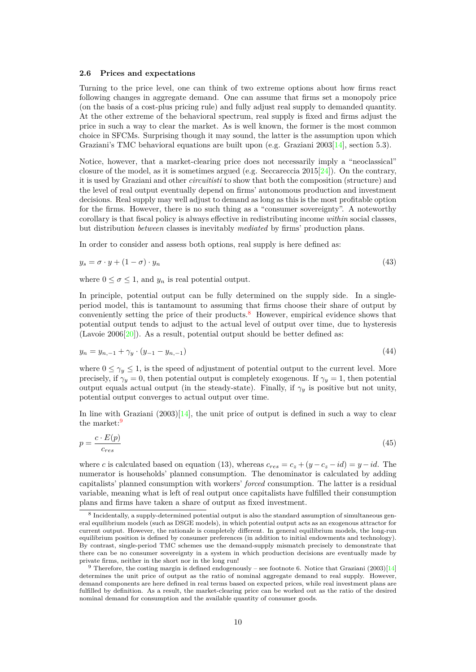### **2.6 Prices and expectations**

Turning to the price level, one can think of two extreme options about how firms react following changes in aggregate demand. One can assume that firms set a monopoly price (on the basis of a cost-plus pricing rule) and fully adjust real supply to demanded quantity. At the other extreme of the behavioral spectrum, real supply is fixed and firms adjust the price in such a way to clear the market. As is well known, the former is the most common choice in SFCMs. Surprising though it may sound, the latter is the assumption upon which Graziani's TMC behavioral equations are built upon (e.g. Graziani 2003[\[14](#page-23-0)], section 5.3).

Notice, however, that a market-clearing price does not necessarily imply a "neoclassical" closure of the model, as it is sometimes argued (e.g. Seccareccia  $2015[24]$  $2015[24]$ ). On the contrary, it is used by Graziani and other *circuitisti* to show that both the composition (structure) and the level of real output eventually depend on firms' autonomous production and investment decisions. Real supply may well adjust to demand as long as this is the most profitable option for the firms. However, there is no such thing as a "consumer sovereignty". A noteworthy corollary is that fiscal policy is always effective in redistributing income *within* social classes, but distribution *between* classes is inevitably *mediated* by firms' production plans.

In order to consider and assess both options, real supply is here defined as:

$$
y_s = \sigma \cdot y + (1 - \sigma) \cdot y_n \tag{43}
$$

where  $0 \le \sigma \le 1$ , and  $y_n$  is real potential output.

In principle, potential output can be fully determined on the supply side. In a singleperiod model, this is tantamount to assuming that firms choose their share of output by conveniently setting the price of their products.<sup>[8](#page-10-0)</sup> However, empirical evidence shows that potential output tends to adjust to the actual level of output over time, due to hysteresis (Lavoie  $2006[20]$  $2006[20]$  $2006[20]$ ). As a result, potential output should be better defined as:

$$
y_n = y_{n,-1} + \gamma_y \cdot (y_{-1} - y_{n,-1}) \tag{44}
$$

where  $0 \leq \gamma_y \leq 1$ , is the speed of adjustment of potential output to the current level. More precisely, if  $\gamma_y = 0$ , then potential output is completely exogenous. If  $\gamma_y = 1$ , then potential output equals actual output (in the steady-state). Finally, if  $\gamma_y$  is positive but not unity, potential output converges to actual output over time.

In line with Graziani  $(2003)[14]$  $(2003)[14]$ , the unit price of output is defined in such a way to clear the market:<sup>[9](#page-10-1)</sup>

$$
p = \frac{c \cdot E(p)}{c_{res}}\tag{45}
$$

where *c* is calculated based on equation (13), whereas  $c_{res} = c_z + (y - c_z - id) = y - id$ . The numerator is households' planned consumption. The denominator is calculated by adding capitalists' planned consumption with workers' *forced* consumption. The latter is a residual variable, meaning what is left of real output once capitalists have fulfilled their consumption plans and firms have taken a share of output as fixed investment.

<span id="page-10-0"></span><sup>&</sup>lt;sup>8</sup> Incidentally, a supply-determined potential output is also the standard assumption of simultaneous general equilibrium models (such as DSGE models), in which potential output acts as an exogenous attractor for current output. However, the rationale is completely different. In general equilibrium models, the long-run equilibrium position is defined by consumer preferences (in addition to initial endowments and technology). By contrast, single-period TMC schemes use the demand-supply mismatch precisely to demonstrate that there can be no consumer sovereignty in a system in which production decisions are eventually made by private firms, neither in the short nor in the long run!

<span id="page-10-1"></span><sup>&</sup>lt;sup>9</sup> Therefore, the costing margin is defined endogenously – see footnote 6. Notice that Graziani (2003)[\[14\]](#page-23-0) determines the unit price of output as the ratio of nominal aggregate demand to real supply. However, demand components are here defined in real terms based on expected prices, while real investment plans are fulfilled by definition. As a result, the market-clearing price can be worked out as the ratio of the desired nominal demand for consumption and the available quantity of consumer goods.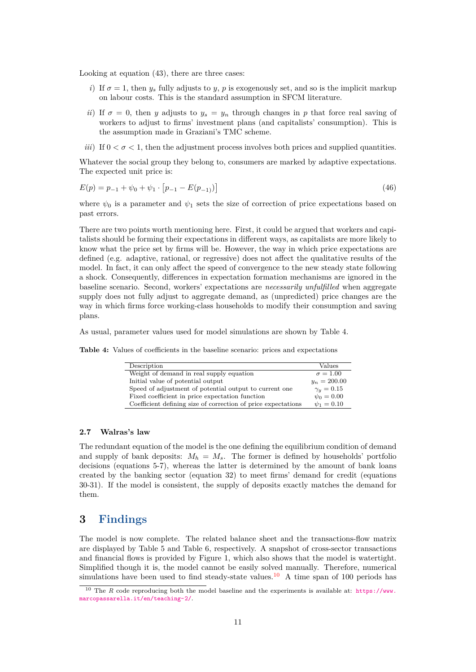Looking at equation (43), there are three cases:

- *i*) If  $\sigma = 1$ , then  $y_s$  fully adjusts to *y*, *p* is exogenously set, and so is the implicit markup on labour costs. This is the standard assumption in SFCM literature.
- *ii*) If  $\sigma = 0$ , then *y* adjusts to  $y_s = y_n$  through changes in *p* that force real saving of workers to adjust to firms' investment plans (and capitalists' consumption). This is the assumption made in Graziani's TMC scheme.
- *iii*) If  $0 < \sigma < 1$ , then the adjustment process involves both prices and supplied quantities.

Whatever the social group they belong to, consumers are marked by adaptive expectations. The expected unit price is:

$$
E(p) = p_{-1} + \psi_0 + \psi_1 \cdot [p_{-1} - E(p_{-1})]
$$
\n(46)

where  $\psi_0$  is a parameter and  $\psi_1$  sets the size of correction of price expectations based on past errors.

There are two points worth mentioning here. First, it could be argued that workers and capitalists should be forming their expectations in different ways, as capitalists are more likely to know what the price set by firms will be. However, the way in which price expectations are defined (e.g. adaptive, rational, or regressive) does not affect the qualitative results of the model. In fact, it can only affect the speed of convergence to the new steady state following a shock. Consequently, differences in expectation formation mechanisms are ignored in the baseline scenario. Second, workers' expectations are *necessarily unfulfilled* when aggregate supply does not fully adjust to aggregate demand, as (unpredicted) price changes are the way in which firms force working-class households to modify their consumption and saving plans.

As usual, parameter values used for model simulations are shown by Table 4.

**Table 4:** Values of coefficients in the baseline scenario: prices and expectations

| Description                                                   | Values          |
|---------------------------------------------------------------|-----------------|
| Weight of demand in real supply equation                      | $\sigma = 1.00$ |
| Initial value of potential output                             | $y_n = 200.00$  |
| Speed of adjustment of potential output to current one        | $\gamma_u=0.15$ |
| Fixed coefficient in price expectation function               | $\psi_0 = 0.00$ |
| Coefficient defining size of correction of price expectations | $\psi_1 = 0.10$ |

### <span id="page-11-0"></span>**2.7 Walras's law**

The redundant equation of the model is the one defining the equilibrium condition of demand and supply of bank deposits:  $M_h = M_s$ . The former is defined by households' portfolio decisions (equations 5-7), whereas the latter is determined by the amount of bank loans created by the banking sector (equation 32) to meet firms' demand for credit (equations 30-31). If the model is consistent, the supply of deposits exactly matches the demand for them.

### <span id="page-11-1"></span>**3 Findings**

The model is now complete. The related balance sheet and the transactions-flow matrix are displayed by Table 5 and Table 6, respectively. A snapshot of cross-sector transactions and financial flows is provided by Figure 1, which also shows that the model is watertight. Simplified though it is, the model cannot be easily solved manually. Therefore, numerical simulations have been used to find steady-state values.<sup>[10](#page-11-2)</sup> A time span of 100 periods has

<span id="page-11-2"></span><sup>&</sup>lt;sup>10</sup> The *R* code reproducing both the model baseline and the experiments is available at: [https://www.](https://www.marcopassarella.it/en/teaching-2/) [marcopassarella.it/en/teaching-2/](https://www.marcopassarella.it/en/teaching-2/).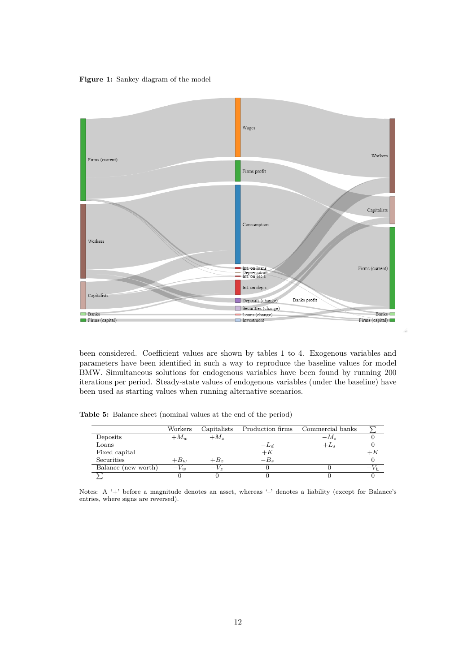**Figure 1:** Sankey diagram of the model



been considered. Coefficient values are shown by tables 1 to 4. Exogenous variables and parameters have been identified in such a way to reproduce the baseline values for model BMW. Simultaneous solutions for endogenous variables have been found by running 200 iterations per period. Steady-state values of endogenous variables (under the baseline) have been used as starting values when running alternative scenarios.

**Table 5:** Balance sheet (nominal values at the end of the period)

|                     | Workers  | Capitalists | Production firms | Commercial banks |  |
|---------------------|----------|-------------|------------------|------------------|--|
| Deposits            | $+M_w$   | $+M_z$      |                  | $-M_s$           |  |
| Loans               |          |             | $-L_d$           | $+L_s$           |  |
| Fixed capital       |          |             | $+K$             |                  |  |
| Securities          | $+B_w$   | $+B_z$      | $-B_{s}$         |                  |  |
| Balance (new worth) | $-V_{w}$ | $-V_z$      |                  |                  |  |
|                     |          |             |                  |                  |  |

Notes: A '+' before a magnitude denotes an asset, whereas '-' denotes a liability (except for Balance's entries, where signs are reversed).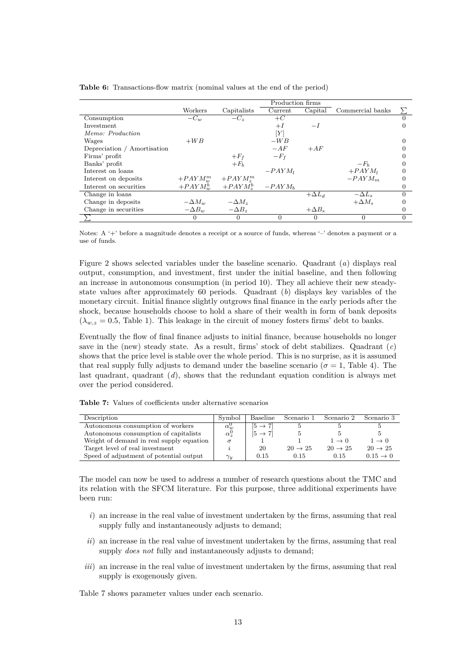|                             |               |               | Production firms |               |                  |          |
|-----------------------------|---------------|---------------|------------------|---------------|------------------|----------|
|                             | Workers       | Capitalists   | Current          | Capital       | Commercial banks |          |
| Consumption                 | $-C_w$        | $-C_z$        | $+C$             |               |                  |          |
| Investment                  |               |               | $+I$             | $-I$          |                  |          |
| Memo: Production            |               |               | [Y]              |               |                  |          |
| Wages                       | $+WB$         |               | $-WB$            |               |                  |          |
| Depreciation / Amortisation |               |               | $-AF$            | $+AF$         |                  |          |
| Firms' profit               |               | $+F_f$        | $-F_{f}$         |               |                  |          |
| Banks' profit               |               | $+F_b$        |                  |               | $-F_h$           |          |
| Interest on loans           |               |               | $-PAYM_I$        |               | $+ PAYM_1$       | 0        |
| Interest on deposits        | $+ PAYM_m^m$  | $+ PAYM^m_*$  |                  |               | $-PAYM_m$        |          |
| Interest on securities      | $+ PAYM_w^b$  | $+ PAYM^b$    | $-PAYM_h$        |               |                  |          |
| Change in loans             |               |               |                  | $+\Delta L_d$ | $-\Delta L_s$    | $\Omega$ |
| Change in deposits          | $-\Delta M_w$ | $-\Delta M_z$ |                  |               | $+\Delta M_s$    |          |
| Change in securities        | $-\Delta B_w$ | $-\Delta B_z$ |                  | $+\Delta B_s$ |                  | $\theta$ |
|                             | $\Omega$      | $\Omega$      | $\Omega$         | 0             | $\Omega$         | 0        |

**Table 6:** Transactions-flow matrix (nominal values at the end of the period)

Notes: A '+' before a magnitude denotes a receipt or a source of funds, whereas '-' denotes a payment or a use of funds.

Figure 2 shows selected variables under the baseline scenario. Quadrant (*a*) displays real output, consumption, and investment, first under the initial baseline, and then following an increase in autonomous consumption (in period 10). They all achieve their new steadystate values after approximately 60 periods. Quadrant (*b*) displays key variables of the monetary circuit. Initial finance slightly outgrows final finance in the early periods after the shock, because households choose to hold a share of their wealth in form of bank deposits  $(\lambda_{w,z}=0.5,$  Table 1). This leakage in the circuit of money fosters firms' debt to banks.

Eventually the flow of final finance adjusts to initial finance, because households no longer save in the (new) steady state. As a result, firms' stock of debt stabilizes. Quadrant (*c*) shows that the price level is stable over the whole period. This is no surprise, as it is assumed that real supply fully adjusts to demand under the baseline scenario ( $\sigma = 1$ , Table 4). The last quadrant, quadrant (*d*), shows that the redundant equation condition is always met over the period considered.

**Table 7:** Values of coefficients under alternative scenarios

| Description                              | Symbol             | Baseline            | Scenario 1          | Scenario 2          | Scenario 3           |
|------------------------------------------|--------------------|---------------------|---------------------|---------------------|----------------------|
| Autonomous consumption of workers        | $\alpha_w^{\rm o}$ | $ 5 \rightarrow 7 $ |                     |                     |                      |
| Autonomous consumption of capitalists    | $\alpha^0$         | $[5 \rightarrow 7]$ |                     |                     |                      |
| Weight of demand in real supply equation |                    |                     |                     | $1 \rightarrow 0$   | $1 \rightarrow 0$    |
| Target level of real investment          |                    | 20                  | $20 \rightarrow 25$ | $20 \rightarrow 25$ | $20 \rightarrow 25$  |
| Speed of adjustment of potential output  | $\gamma_y$         | 0.15                | 0.15                | 0.15                | $0.15 \rightarrow 0$ |

The model can now be used to address a number of research questions about the TMC and its relation with the SFCM literature. For this purpose, three additional experiments have been run:

- *i*) an increase in the real value of investment undertaken by the firms, assuming that real supply fully and instantaneously adjusts to demand;
- *ii*) an increase in the real value of investment undertaken by the firms, assuming that real supply *does not* fully and instantaneously adjusts to demand;
- *iii*) an increase in the real value of investment undertaken by the firms, assuming that real supply is exogenously given.

<span id="page-13-0"></span>Table 7 shows parameter values under each scenario.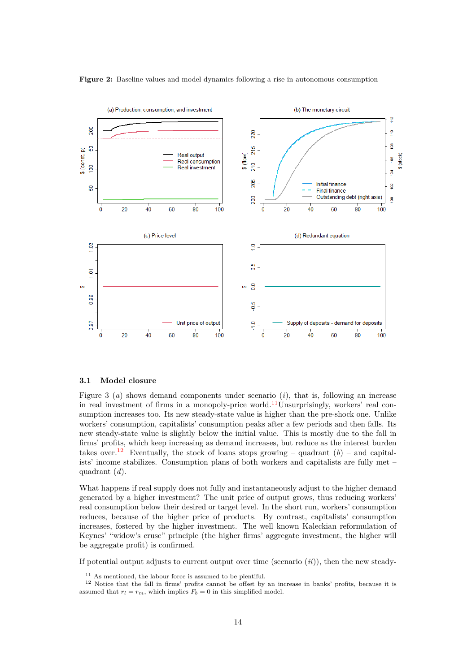

### **Figure 2:** Baseline values and model dynamics following a rise in autonomous consumption

### **3.1 Model closure**

Figure 3 (*a*) shows demand components under scenario (*i*), that is, following an increase in real investment of firms in a monopoly-price world.<sup>[11](#page-14-0)</sup>Unsurprisingly, workers' real consumption increases too. Its new steady-state value is higher than the pre-shock one. Unlike workers' consumption, capitalists' consumption peaks after a few periods and then falls. Its new steady-state value is slightly below the initial value. This is mostly due to the fall in firms' profits, which keep increasing as demand increases, but reduce as the interest burden takes over.<sup>[12](#page-14-1)</sup> Eventually, the stock of loans stops growing – quadrant  $(b)$  – and capitalists' income stabilizes. Consumption plans of both workers and capitalists are fully met – quadrant (*d*).

What happens if real supply does not fully and instantaneously adjust to the higher demand generated by a higher investment? The unit price of output grows, thus reducing workers' real consumption below their desired or target level. In the short run, workers' consumption reduces, because of the higher price of products. By contrast, capitalists' consumption increases, fostered by the higher investment. The well known Kaleckian reformulation of Keynes' "widow's cruse" principle (the higher firms' aggregate investment, the higher will be aggregate profit) is confirmed.

If potential output adjusts to current output over time (scenario (*ii*)), then the new steady-

<span id="page-14-1"></span><span id="page-14-0"></span><sup>&</sup>lt;sup>11</sup> As mentioned, the labour force is assumed to be plentiful.

<sup>12</sup> Notice that the fall in firms' profits cannot be offset by an increase in banks' profits, because it is assumed that  $r_l = r_m$ , which implies  $F_b = 0$  in this simplified model.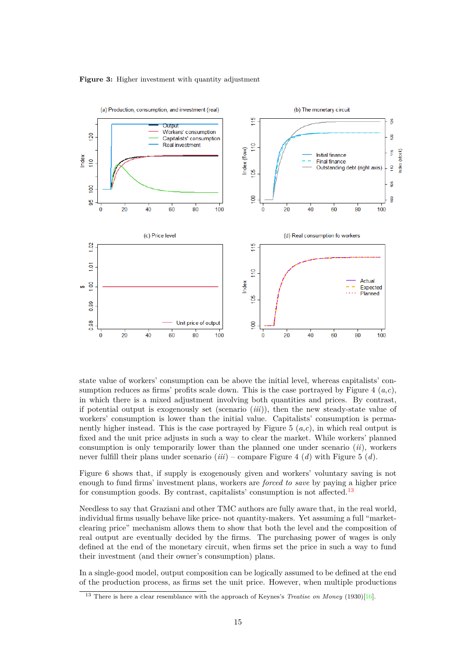#### **Figure 3:** Higher investment with quantity adjustment



state value of workers' consumption can be above the initial level, whereas capitalists' consumption reduces as firms' profits scale down. This is the case portrayed by Figure 4 (*a*,*c*), in which there is a mixed adjustment involving both quantities and prices. By contrast, if potential output is exogenously set (scenario (*iii*)), then the new steady-state value of workers' consumption is lower than the initial value. Capitalists' consumption is permanently higher instead. This is the case portrayed by Figure 5 (*a*,*c*), in which real output is fixed and the unit price adjusts in such a way to clear the market. While workers' planned consumption is only temporarily lower than the planned one under scenario (*ii*), workers never fulfill their plans under scenario (*iii*) – compare Figure 4 (*d*) with Figure 5 (*d*).

Figure 6 shows that, if supply is exogenously given and workers' voluntary saving is not enough to fund firms' investment plans, workers are *forced to save* by paying a higher price for consumption goods. By contrast, capitalists' consumption is not affected.<sup>[13](#page-15-0)</sup>

Needless to say that Graziani and other TMC authors are fully aware that, in the real world, individual firms usually behave like price- not quantity-makers. Yet assuming a full "marketclearing price" mechanism allows them to show that both the level and the composition of real output are eventually decided by the firms. The purchasing power of wages is only defined at the end of the monetary circuit, when firms set the price in such a way to fund their investment (and their owner's consumption) plans.

In a single-good model, output composition can be logically assumed to be defined at the end of the production process, as firms set the unit price. However, when multiple productions

<span id="page-15-0"></span><sup>&</sup>lt;sup>13</sup> There is here a clear resemblance with the approach of Keynes's *Treatise on Money* (1930)[\[16\]](#page-23-8).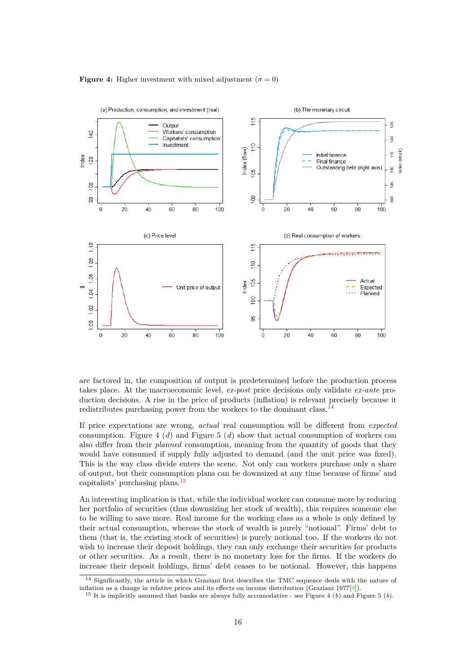



are factored in, the composition of output is predetermined before the production process takes place. At the macroeconomic level, *ex-post* price decisions only validate *ex-ante* production decisions. A rise in the price of products (inflation) is relevant precisely because it redistributes purchasing power from the workers to the dominant class. $14$ 

If price expectations are wrong, *actual* real consumption will be different from *expected* consumption. Figure 4 (*d*) and Figure 5 (*d*) show that actual consumption of workers can also differ from their *planned* consumption, meaning from the quantity of goods that they would have consumed if supply fully adjusted to demand (and the unit price was fixed). This is the way class divide enters the scene. Not only can workers purchase only a share of output, but their consumption plans can be downsized at any time because of firms' and capitalists' purchasing plans.[15](#page-16-1)

An interesting implication is that, while the individual worker can consume more by reducing her portfolio of securities (thus downsizing her stock of wealth), this requires someone else to be willing to save more. Real income for the working class as a whole is only defined by their actual consumption, whereas the stock of wealth is purely "notional". Firms' debt to them (that is, the existing stock of securities) is purely notional too. If the workers do not wish to increase their deposit holdings, they can only exchange their securities for products or other securities. As a result, there is no monetary loss for the firms. If the workers do increase their deposit holdings, firms' debt ceases to be notional. However, this happens

<span id="page-16-0"></span><sup>14</sup> Significantly, the article in which Graziani first describes the TMC sequence deals with the nature of inflation as a change in relative prices and its effects on income distribution (Graziani 1977[[9\]](#page-22-3)).

<span id="page-16-1"></span><sup>&</sup>lt;sup>15</sup> It is implicitly assumed that banks are always fully accomodative - see Figure 4 (*b*) and Figure 5 (*b*).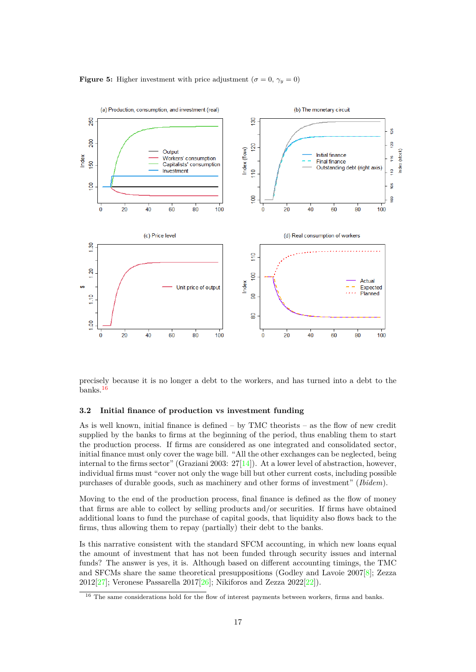



precisely because it is no longer a debt to the workers, and has turned into a debt to the banks.[16](#page-17-1)

### <span id="page-17-0"></span>**3.2 Initial finance of production vs investment funding**

As is well known, initial finance is defined  $-$  by TMC theorists  $-$  as the flow of new credit supplied by the banks to firms at the beginning of the period, thus enabling them to start the production process. If firms are considered as one integrated and consolidated sector, initial finance must only cover the wage bill. "All the other exchanges can be neglected, being internal to the firms sector" (Graziani 2003:  $27[14]$  $27[14]$  $27[14]$ ). At a lower level of abstraction, however, individual firms must "cover not only the wage bill but other current costs, including possible purchases of durable goods, such as machinery and other forms of investment" (*Ibidem*).

Moving to the end of the production process, final finance is defined as the flow of money that firms are able to collect by selling products and/or securities. If firms have obtained additional loans to fund the purchase of capital goods, that liquidity also flows back to the firms, thus allowing them to repay (partially) their debt to the banks.

Is this narrative consistent with the standard SFCM accounting, in which new loans equal the amount of investment that has not been funded through security issues and internal funds? The answer is yes, it is. Although based on different accounting timings, the TMC and SFCMs share the same theoretical presuppositions (Godley and Lavoie 2007[\[8](#page-22-0)]; Zezza 2012[[27\]](#page-23-2); Veronese Passarella 2017[[26](#page-23-4)]; Nikiforos and Zezza 2022[\[22](#page-23-9)]).

<span id="page-17-1"></span><sup>&</sup>lt;sup>16</sup> The same considerations hold for the flow of interest payments between workers, firms and banks.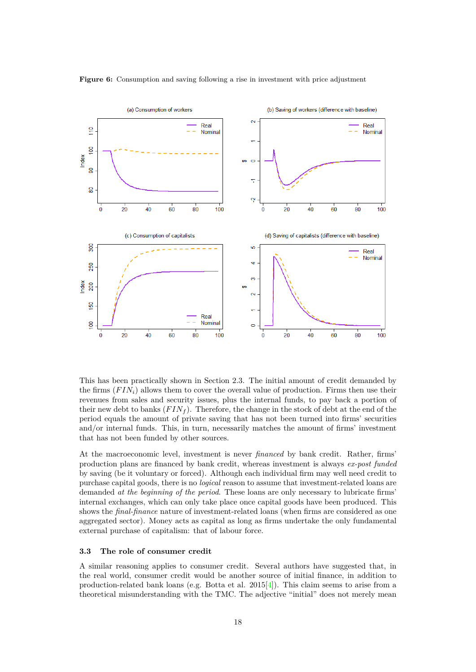

### **Figure 6:** Consumption and saving following a rise in investment with price adjustment

This has been practically shown in Section 2.3. The initial amount of credit demanded by the firms (*F INi*) allows them to cover the overall value of production. Firms then use their revenues from sales and security issues, plus the internal funds, to pay back a portion of their new debt to banks  $(FIN<sub>f</sub>)$ . Therefore, the change in the stock of debt at the end of the period equals the amount of private saving that has not been turned into firms' securities and/or internal funds. This, in turn, necessarily matches the amount of firms' investment that has not been funded by other sources.

At the macroeconomic level, investment is never *financed* by bank credit. Rather, firms' production plans are financed by bank credit, whereas investment is always *ex-post funded* by saving (be it voluntary or forced). Although each individual firm may well need credit to purchase capital goods, there is no *logical* reason to assume that investment-related loans are demanded *at the beginning of the period*. These loans are only necessary to lubricate firms' internal exchanges, which can only take place once capital goods have been produced. This shows the *final-finance* nature of investment-related loans (when firms are considered as one aggregated sector). Money acts as capital as long as firms undertake the only fundamental external purchase of capitalism: that of labour force.

### <span id="page-18-0"></span>**3.3 The role of consumer credit**

A similar reasoning applies to consumer credit. Several authors have suggested that, in the real world, consumer credit would be another source of initial finance, in addition to production-related bank loans (e.g. Botta et al.  $2015[4]$  $2015[4]$ ). This claim seems to arise from a theoretical misunderstanding with the TMC. The adjective "initial" does not merely mean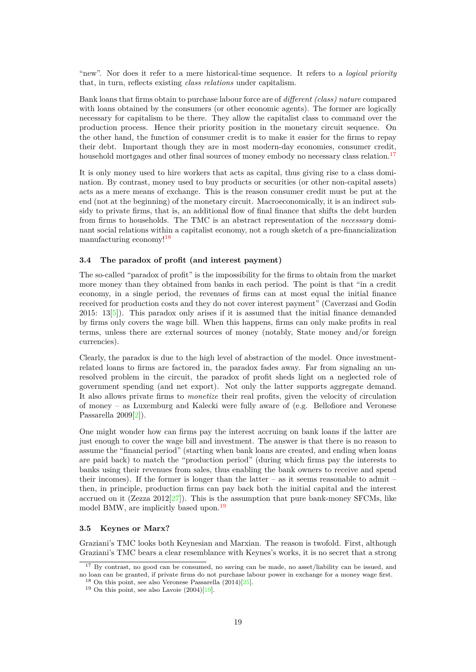"new". Nor does it refer to a mere historical-time sequence. It refers to a *logical priority* that, in turn, reflects existing *class relations* under capitalism.

Bank loans that firms obtain to purchase labour force are of *different (class) nature* compared with loans obtained by the consumers (or other economic agents). The former are logically necessary for capitalism to be there. They allow the capitalist class to command over the production process. Hence their priority position in the monetary circuit sequence. On the other hand, the function of consumer credit is to make it easier for the firms to repay their debt. Important though they are in most modern-day economies, consumer credit, household mortgages and other final sources of money embody no necessary class relation.<sup>[17](#page-19-2)</sup>

It is only money used to hire workers that acts as capital, thus giving rise to a class domination. By contrast, money used to buy products or securities (or other non-capital assets) acts as a mere means of exchange. This is the reason consumer credit must be put at the end (not at the beginning) of the monetary circuit. Macroeconomically, it is an indirect subsidy to private firms, that is, an additional flow of final finance that shifts the debt burden from firms to households. The TMC is an abstract representation of the *necessary* dominant social relations within a capitalist economy, not a rough sketch of a pre-financialization manufacturing economy![18](#page-19-3)

### <span id="page-19-0"></span>**3.4 The paradox of profit (and interest payment)**

The so-called "paradox of profit" is the impossibility for the firms to obtain from the market more money than they obtained from banks in each period. The point is that "in a credit economy, in a single period, the revenues of firms can at most equal the initial finance received for production costs and they do not cover interest payment" (Caverzasi and Godin 2015: 13[[5\]](#page-22-5)). This paradox only arises if it is assumed that the initial finance demanded by firms only covers the wage bill. When this happens, firms can only make profits in real terms, unless there are external sources of money (notably, State money and/or foreign currencies).

Clearly, the paradox is due to the high level of abstraction of the model. Once investmentrelated loans to firms are factored in, the paradox fades away. Far from signaling an unresolved problem in the circuit, the paradox of profit sheds light on a neglected role of government spending (and net export). Not only the latter supports aggregate demand. It also allows private firms to *monetize* their real profits, given the velocity of circulation of money – as Luxemburg and Kalecki were fully aware of (e.g. Bellofiore and Veronese Passarella 2009[\[2](#page-22-6)]).

One might wonder how can firms pay the interest accruing on bank loans if the latter are just enough to cover the wage bill and investment. The answer is that there is no reason to assume the "financial period" (starting when bank loans are created, and ending when loans are paid back) to match the "production period" (during which firms pay the interests to banks using their revenues from sales, thus enabling the bank owners to receive and spend their incomes). If the former is longer than the latter – as it seems reasonable to admit – then, in principle, production firms can pay back both the initial capital and the interest accrued on it (Zezza  $2012[27]$  $2012[27]$  $2012[27]$ ). This is the assumption that pure bank-money SFCMs, like model BMW, are implicitly based upon.[19](#page-19-4)

### <span id="page-19-1"></span>**3.5 Keynes or Marx?**

Graziani's TMC looks both Keynesian and Marxian. The reason is twofold. First, although Graziani's TMC bears a clear resemblance with Keynes's works, it is no secret that a strong

<span id="page-19-2"></span><sup>17</sup> By contrast, no good can be consumed, no saving can be made, no asset/liability can be issued, and no loan can be granted, if private firms do not purchase labour power in exchange for a money wage first.

<span id="page-19-3"></span> $18$  On this point, see also Veronese Passarella  $(2014)[25]$  $(2014)[25]$  $(2014)[25]$ .

<span id="page-19-4"></span> $19$  On this point, see also Lavoie  $(2004)[19]$ .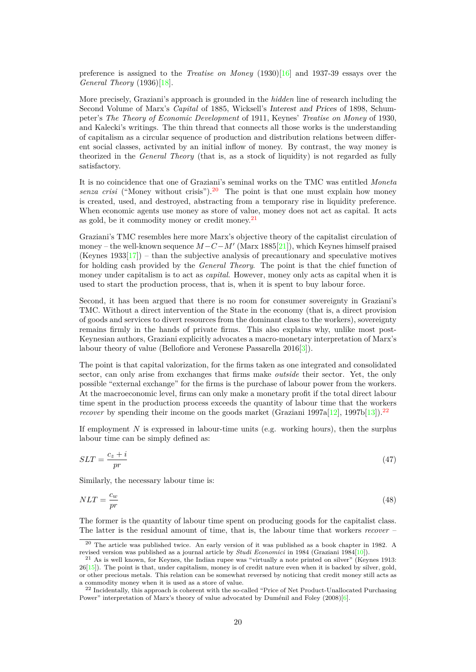preference is assigned to the *Treatise on Money* (1930)[\[16](#page-23-8)] and 1937-39 essays over the *General Theory* (1936)[\[18](#page-23-10)].

More precisely, Graziani's approach is grounded in the *hidden* line of research including the Second Volume of Marx's *Capital* of 1885, Wicksell's *Interest and Prices* of 1898, Schumpeter's *The Theory of Economic Development* of 1911, Keynes' *Treatise on Money* of 1930, and Kalecki's writings. The thin thread that connects all those works is the understanding of capitalism as a circular sequence of production and distribution relations between different social classes, activated by an initial inflow of money. By contrast, the way money is theorized in the *General Theory* (that is, as a stock of liquidity) is not regarded as fully satisfactory.

It is no coincidence that one of Graziani's seminal works on the TMC was entitled *Moneta senza crisi* ("Money without crisis").<sup>[20](#page-20-0)</sup> The point is that one must explain how money is created, used, and destroyed, abstracting from a temporary rise in liquidity preference. When economic agents use money as store of value, money does not act as capital. It acts as gold, be it commodity money or credit money.[21](#page-20-1)

Graziani's TMC resembles here more Marx's objective theory of the capitalist circulation of money – the well-known sequence *M−C−M′* (Marx 1885[[21\]](#page-23-11)), which Keynes himself praised (Keynes  $1933[17]$  $1933[17]$ ) – than the subjective analysis of precautionary and speculative motives for holding cash provided by the *General Theory*. The point is that the chief function of money under capitalism is to act as *capital*. However, money only acts as capital when it is used to start the production process, that is, when it is spent to buy labour force.

Second, it has been argued that there is no room for consumer sovereignty in Graziani's TMC. Without a direct intervention of the State in the economy (that is, a direct provision of goods and services to divert resources from the dominant class to the workers), sovereignty remains firmly in the hands of private firms. This also explains why, unlike most post-Keynesian authors, Graziani explicitly advocates a macro-monetary interpretation of Marx's labour theory of value (Bellofiore and Veronese Passarella 2016[[3](#page-22-7)]).

The point is that capital valorization, for the firms taken as one integrated and consolidated sector, can only arise from exchanges that firms make *outside* their sector. Yet, the only possible "external exchange" for the firms is the purchase of labour power from the workers. At the macroeconomic level, firms can only make a monetary profit if the total direct labour time spent in the production process exceeds the quantity of labour time that the workers *recover* by spending their income on the goods market (Graziani 1997a[[12](#page-22-8)], 1997b[\[13](#page-23-13)]).<sup>[22](#page-20-2)</sup>

If employment *N* is expressed in labour-time units (e.g. working hours), then the surplus labour time can be simply defined as:

$$
SLT = \frac{c_z + i}{pr} \tag{47}
$$

Similarly, the necessary labour time is:

$$
NLT = \frac{c_w}{pr} \tag{48}
$$

The former is the quantity of labour time spent on producing goods for the capitalist class. The latter is the residual amount of time, that is, the labour time that workers *recover* –

<span id="page-20-0"></span><sup>20</sup> The article was published twice. An early version of it was published as a book chapter in 1982. A revised version was published as a journal article by *Studi Economici* in 1984 (Graziani 1984[\[10\]](#page-22-9)).

<span id="page-20-1"></span><sup>21</sup> As is well known, for Keynes, the Indian rupee was "virtually a note printed on silver" (Keynes 1913:  $26[15]$  $26[15]$ ). The point is that, under capitalism, money is of credit nature even when it is backed by silver, gold, or other precious metals. This relation can be somewhat reversed by noticing that credit money still acts as a commodity money when it is used as a store of value.

<span id="page-20-2"></span><sup>&</sup>lt;sup>22</sup> Incidentally, this approach is coherent with the so-called "Price of Net Product-Unallocated Purchasing Power" interpretation of Marx's theory of value advocated by Duménil and Foley (2008)[\[6\]](#page-22-10).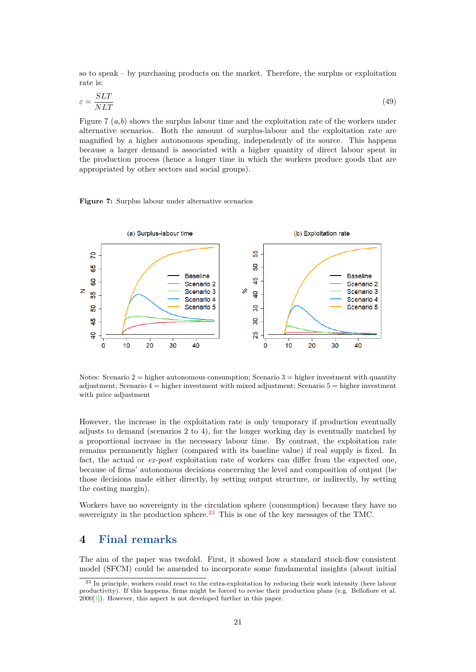so to speak – by purchasing products on the market. Therefore, the surplus or exploitation rate is:

$$
\varepsilon = \frac{SLT}{NLT} \tag{49}
$$

Figure 7 (*a*,*b*) shows the surplus labour time and the exploitation rate of the workers under alternative scenarios. Both the amount of surplus-labour and the exploitation rate are magnified by a higher autonomous spending, independently of its source. This happens because a larger demand is associated with a higher quantity of direct labour spent in the production process (hence a longer time in which the workers produce goods that are appropriated by other sectors and social groups).

**Figure 7:** Surplus labour under alternative scenarios



Notes: Scenario  $2 =$  higher autonomous consumption; Scenario  $3 =$  higher investment with quantity adjustment; Scenario  $4 =$  higher investment with mixed adjustment; Scenario  $5 =$  higher investment with price adjustment

However, the increase in the exploitation rate is only temporary if production eventually adjusts to demand (scenarios 2 to 4), for the longer working day is eventually matched by a proportional increase in the necessary labour time. By contrast, the exploitation rate remains permanently higher (compared with its baseline value) if real supply is fixed. In fact, the actual or *ex-post* exploitation rate of workers can differ from the expected one, because of firms' autonomous decisions concerning the level and composition of output (be those decisions made either directly, by setting output structure, or indirectly, by setting the costing margin).

Workers have no sovereignty in the circulation sphere (consumption) because they have no sovereignty in the production sphere.<sup>[23](#page-21-1)</sup> This is one of the key messages of the TMC.

### <span id="page-21-0"></span>**4 Final remarks**

The aim of the paper was twofold. First, it showed how a standard stock-flow consistent model (SFCM) could be amended to incorporate some fundamental insights (about initial

<span id="page-21-1"></span><sup>23</sup> In principle, workers could react to the extra-exploitation by reducing their work intensity (here labour productivity). If this happens, firms might be forced to revise their production plans (e.g. Bellofiore et al. 2000[[1\]](#page-22-11)). However, this aspect is not developed further in this paper.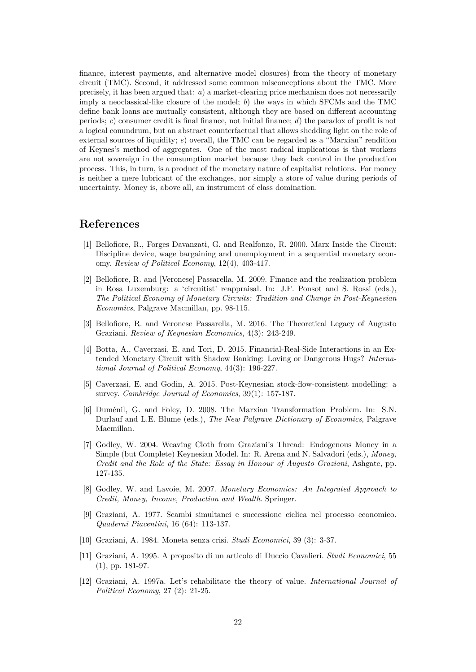finance, interest payments, and alternative model closures) from the theory of monetary circuit (TMC). Second, it addressed some common misconceptions about the TMC. More precisely, it has been argued that: *a*) a market-clearing price mechanism does not necessarily imply a neoclassical-like closure of the model; *b*) the ways in which SFCMs and the TMC define bank loans are mutually consistent, although they are based on different accounting periods; *c*) consumer credit is final finance, not initial finance; *d*) the paradox of profit is not a logical conundrum, but an abstract counterfactual that allows shedding light on the role of external sources of liquidity; *e*) overall, the TMC can be regarded as a "Marxian" rendition of Keynes's method of aggregates. One of the most radical implications is that workers are not sovereign in the consumption market because they lack control in the production process. This, in turn, is a product of the monetary nature of capitalist relations. For money is neither a mere lubricant of the exchanges, nor simply a store of value during periods of uncertainty. Money is, above all, an instrument of class domination.

### **References**

- <span id="page-22-11"></span>[1] Bellofiore, R., Forges Davanzati, G. and Realfonzo, R. 2000. Marx Inside the Circuit: Discipline device, wage bargaining and unemployment in a sequential monetary economy. *Review of Political Economy*, 12(4), 403-417.
- <span id="page-22-6"></span>[2] Bellofiore, R. and [Veronese] Passarella, M. 2009. Finance and the realization problem in Rosa Luxemburg: a 'circuitist' reappraisal. In: J.F. Ponsot and S. Rossi (eds.), *The Political Economy of Monetary Circuits: Tradition and Change in Post-Keynesian Economics*, Palgrave Macmillan, pp. 98-115.
- <span id="page-22-7"></span>[3] Bellofiore, R. and Veronese Passarella, M. 2016. The Theoretical Legacy of Augusto Graziani. *Review of Keynesian Economics*, 4(3): 243-249.
- <span id="page-22-4"></span>[4] Botta, A., Caverzasi, E. and Tori, D. 2015. Financial-Real-Side Interactions in an Extended Monetary Circuit with Shadow Banking: Loving or Dangerous Hugs? *International Journal of Political Economy*, 44(3): 196-227.
- <span id="page-22-5"></span>[5] Caverzasi, E. and Godin, A. 2015. Post-Keynesian stock-flow-consistent modelling: a survey. *Cambridge Journal of Economics*, 39(1): 157-187.
- <span id="page-22-10"></span>[6] Duménil, G. and Foley, D. 2008. The Marxian Transformation Problem. In: S.N. Durlauf and L.E. Blume (eds.), *The New Palgrave Dictionary of Economics*, Palgrave Macmillan.
- <span id="page-22-1"></span>[7] Godley, W. 2004. Weaving Cloth from Graziani's Thread: Endogenous Money in a Simple (but Complete) Keynesian Model. In: R. Arena and N. Salvadori (eds.), *Money, Credit and the Role of the State: Essay in Honour of Augusto Graziani*, Ashgate, pp. 127-135.
- <span id="page-22-0"></span>[8] Godley, W. and Lavoie, M. 2007. *Monetary Economics: An Integrated Approach to Credit, Money, Income, Production and Wealth*. Springer.
- <span id="page-22-3"></span>[9] Graziani, A. 1977. Scambi simultanei e successione ciclica nel processo economico. *Quaderni Piacentini*, 16 (64): 113-137.
- <span id="page-22-9"></span>[10] Graziani, A. 1984. Moneta senza crisi. *Studi Economici*, 39 (3): 3-37.
- <span id="page-22-2"></span>[11] Graziani, A. 1995. A proposito di un articolo di Duccio Cavalieri. *Studi Economici*, 55 (1), pp. 181-97.
- <span id="page-22-8"></span>[12] Graziani, A. 1997a. Let's rehabilitate the theory of value. *International Journal of Political Economy*, 27 (2): 21-25.